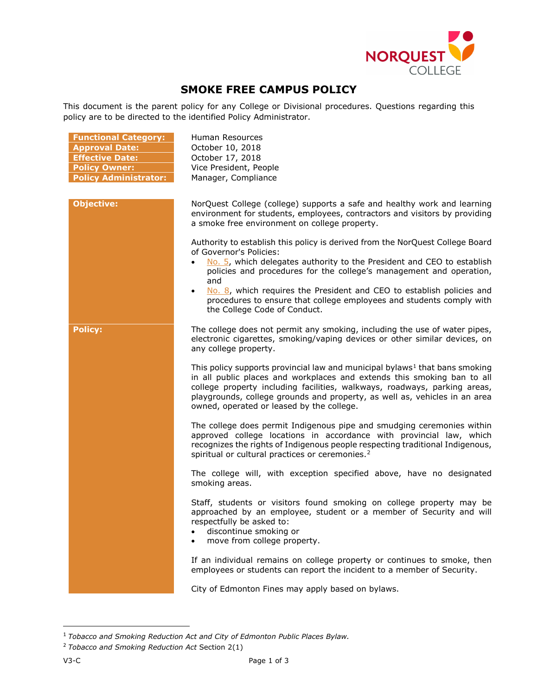

## **SMOKE FREE CAMPUS POLICY**

This document is the parent policy for any College or Divisional procedures. Questions regarding this policy are to be directed to the identified Policy Administrator.

| <b>Functional Category:</b><br><b>Approval Date:</b><br><b>Effective Date:</b><br><b>Policy Owner:</b><br><b>Policy Administrator:</b> | Human Resources<br>October 10, 2018<br>October 17, 2018<br>Vice President, People<br>Manager, Compliance                                                                                                                                                                                                                                                                                                                       |
|----------------------------------------------------------------------------------------------------------------------------------------|--------------------------------------------------------------------------------------------------------------------------------------------------------------------------------------------------------------------------------------------------------------------------------------------------------------------------------------------------------------------------------------------------------------------------------|
| <b>Objective:</b>                                                                                                                      | NorQuest College (college) supports a safe and healthy work and learning<br>environment for students, employees, contractors and visitors by providing<br>a smoke free environment on college property.                                                                                                                                                                                                                        |
|                                                                                                                                        | Authority to establish this policy is derived from the NorQuest College Board<br>of Governor's Policies:<br>No. 5, which delegates authority to the President and CEO to establish<br>policies and procedures for the college's management and operation,<br>and<br>No. 8, which requires the President and CEO to establish policies and<br>$\bullet$<br>procedures to ensure that college employees and students comply with |
| <b>Policy:</b>                                                                                                                         | the College Code of Conduct.<br>The college does not permit any smoking, including the use of water pipes,<br>electronic cigarettes, smoking/vaping devices or other similar devices, on<br>any college property.                                                                                                                                                                                                              |
|                                                                                                                                        | This policy supports provincial law and municipal bylaws <sup>1</sup> that bans smoking<br>in all public places and workplaces and extends this smoking ban to all<br>college property including facilities, walkways, roadways, parking areas,<br>playgrounds, college grounds and property, as well as, vehicles in an area<br>owned, operated or leased by the college.                                                     |
|                                                                                                                                        | The college does permit Indigenous pipe and smudging ceremonies within<br>approved college locations in accordance with provincial law, which<br>recognizes the rights of Indigenous people respecting traditional Indigenous,<br>spiritual or cultural practices or ceremonies. <sup>2</sup>                                                                                                                                  |
|                                                                                                                                        | The college will, with exception specified above, have no designated<br>smoking areas.                                                                                                                                                                                                                                                                                                                                         |
|                                                                                                                                        | Staff, students or visitors found smoking on college property may be<br>approached by an employee, student or a member of Security and will<br>respectfully be asked to:<br>discontinue smoking or<br>move from college property.                                                                                                                                                                                              |
|                                                                                                                                        | If an individual remains on college property or continues to smoke, then<br>employees or students can report the incident to a member of Security.                                                                                                                                                                                                                                                                             |
|                                                                                                                                        | City of Edmonton Fines may apply based on bylaws.                                                                                                                                                                                                                                                                                                                                                                              |

<span id="page-0-0"></span> <sup>1</sup> *Tobacco and Smoking Reduction Act and City of Edmonton Public Places Bylaw.* 

<span id="page-0-1"></span><sup>2</sup> *Tobacco and Smoking Reduction Act* Section 2(1)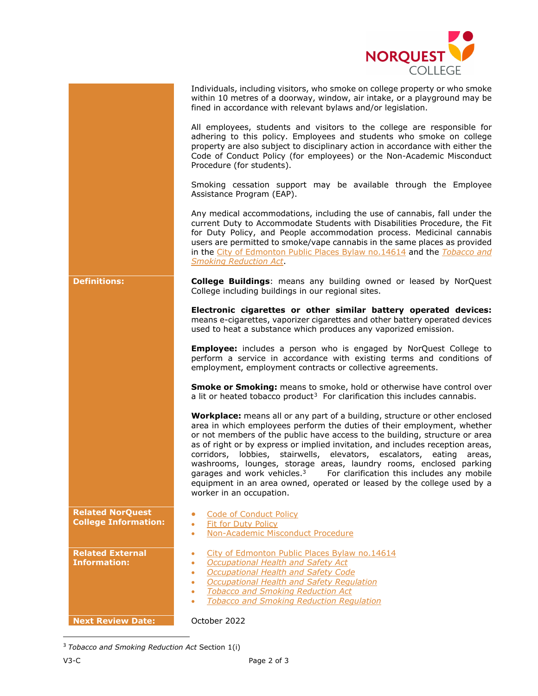

| Individuals, including visitors, who smoke on college property or who smoke |
|-----------------------------------------------------------------------------|
| within 10 metres of a doorway, window, air intake, or a playground may be   |
| fined in accordance with relevant bylaws and/or legislation.                |

All employees, students and visitors to the college are responsible for adhering to this policy. Employees and students who smoke on college property are also subject to disciplinary action in accordance with either the Code of Conduct Policy (for employees) or the Non-Academic Misconduct Procedure (for students).

Smoking cessation support may be available through the Employee Assistance Program (EAP).

Any medical accommodations, including the use of cannabis, fall under the current Duty to Accommodate Students with Disabilities Procedure, the Fit for Duty Policy, and People accommodation process. Medicinal cannabis users are permitted to smoke/vape cannabis in the same places as provided in the [City of Edmonton Public Places Bylaw no.14614](https://www.edmonton.ca/city_government/bylaws/bylaws-p.aspx) and the *[Tobacco](http://www.qp.alberta.ca/1266.cfm?page=T03P8.cfm&leg_type=Acts&isbncln=9780779748303) and Smoking [Reduction Act](http://www.qp.alberta.ca/1266.cfm?page=T03P8.cfm&leg_type=Acts&isbncln=9780779748303)*.

**Definitions: College Buildings**: means any building owned or leased by NorQuest College including buildings in our regional sites.

> **Electronic cigarettes or other similar battery operated devices:**  means e-cigarettes, vaporizer cigarettes and other battery operated devices used to heat a substance which produces any vaporized emission.

> **Employee:** includes a person who is engaged by NorQuest College to perform a service in accordance with existing terms and conditions of employment, employment contracts or collective agreements.

> **Smoke or Smoking:** means to smoke, hold or otherwise have control over a lit or heated tobacco product<sup>[3](#page-1-0)</sup> For clarification this includes cannabis.

> **Workplace:** means all or any part of a building, structure or other enclosed area in which employees perform the duties of their employment, whether or not members of the public have access to the building, structure or area as of right or by express or implied invitation, and includes reception areas, corridors, lobbies, stairwells, elevators, escalators, eating areas, washrooms, lounges, storage areas, laundry rooms, enclosed parking garages and work vehicles. $3$  For clarification this includes any mobile equipment in an area owned, operated or leased by the college used by a worker in an occupation.

- **Related NorQuest Related NorQuest Conduct Policy Conduct Policy College Information:** Conduct Policy **Related External Information:**
	-
	- [Fit for Duty](https://www.norquest.ca/about-us/policies-procedures/human-resources/fit-for-duty-policy.aspx) Policy
	- [Non-Academic Misconduct Procedure](https://www.norquest.ca/about-us/policies-procedures/academic/student-judicial-affairs-policy/non-academic-misconduct-procedure.aspx)
	- [City of Edmonton Public Places Bylaw no.14614](https://www.edmonton.ca/city_government/bylaws/bylaws-p.aspx)
	- *[Occupational Health and Safety Act](http://www.qp.alberta.ca/documents/Acts/O02P1.pdf)*
	- *[Occupational Health and Safety Code](http://www.qp.alberta.ca/documents/OHS/OHS.pdf)*
	- *[Occupational Health and Safety Regulation](http://www.qp.alberta.ca/documents/Regs/2003_062.pdf)*
	- *[Tobacco and Smoking Reduction Act](http://www.qp.alberta.ca/1266.cfm?page=T03P8.cfm&leg_type=Acts&isbncln=9780779748303)*
	- *[Tobacco and Smoking Reduction Regulation](http://www.qp.alberta.ca/1266.cfm?page=2007_240.cfm&leg_type=Regs&isbncln=9780779775927)*

**Next Review Date:** October 2022

<span id="page-1-0"></span>3 *Tobacco and Smoking Reduction Act* Section 1(i)